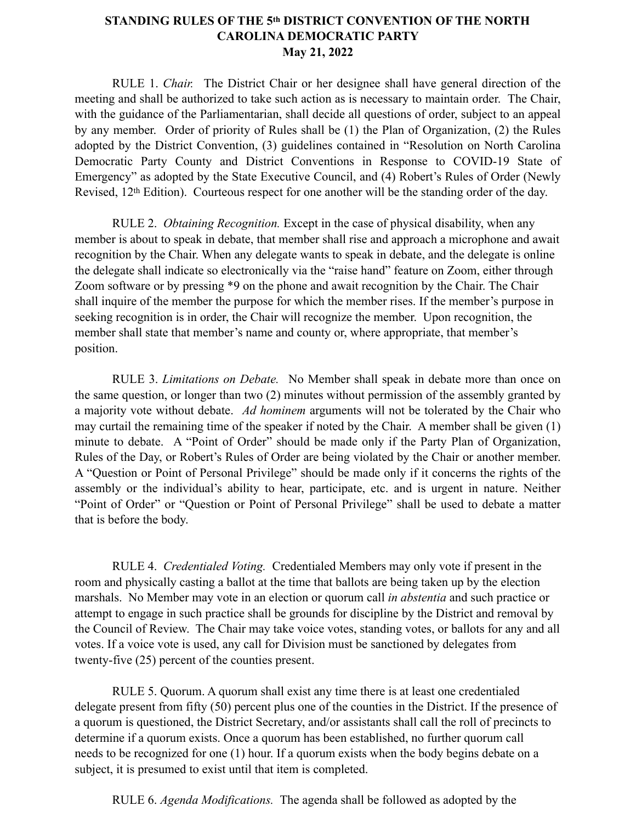## **STANDING RULES OF THE 5th DISTRICT CONVENTION OF THE NORTH CAROLINA DEMOCRATIC PARTY May 21, 2022**

RULE 1. *Chair.* The District Chair or her designee shall have general direction of the meeting and shall be authorized to take such action as is necessary to maintain order. The Chair, with the guidance of the Parliamentarian, shall decide all questions of order, subject to an appeal by any member. Order of priority of Rules shall be (1) the Plan of Organization, (2) the Rules adopted by the District Convention, (3) guidelines contained in "Resolution on North Carolina Democratic Party County and District Conventions in Response to COVID-19 State of Emergency" as adopted by the State Executive Council, and (4) Robert's Rules of Order (Newly Revised, 12th Edition). Courteous respect for one another will be the standing order of the day.

RULE 2. *Obtaining Recognition.* Except in the case of physical disability, when any member is about to speak in debate, that member shall rise and approach a microphone and await recognition by the Chair. When any delegate wants to speak in debate, and the delegate is online the delegate shall indicate so electronically via the "raise hand" feature on Zoom, either through Zoom software or by pressing \*9 on the phone and await recognition by the Chair. The Chair shall inquire of the member the purpose for which the member rises. If the member's purpose in seeking recognition is in order, the Chair will recognize the member. Upon recognition, the member shall state that member's name and county or, where appropriate, that member's position.

RULE 3. *Limitations on Debate.* No Member shall speak in debate more than once on the same question, or longer than two (2) minutes without permission of the assembly granted by a majority vote without debate. *Ad hominem* arguments will not be tolerated by the Chair who may curtail the remaining time of the speaker if noted by the Chair. A member shall be given (1) minute to debate. A "Point of Order" should be made only if the Party Plan of Organization, Rules of the Day, or Robert's Rules of Order are being violated by the Chair or another member. A "Question or Point of Personal Privilege" should be made only if it concerns the rights of the assembly or the individual's ability to hear, participate, etc. and is urgent in nature. Neither "Point of Order" or "Question or Point of Personal Privilege" shall be used to debate a matter that is before the body.

RULE 4. *Credentialed Voting.* Credentialed Members may only vote if present in the room and physically casting a ballot at the time that ballots are being taken up by the election marshals. No Member may vote in an election or quorum call *in abstentia* and such practice or attempt to engage in such practice shall be grounds for discipline by the District and removal by the Council of Review. The Chair may take voice votes, standing votes, or ballots for any and all votes. If a voice vote is used, any call for Division must be sanctioned by delegates from twenty-five (25) percent of the counties present.

RULE 5. Quorum. A quorum shall exist any time there is at least one credentialed delegate present from fifty (50) percent plus one of the counties in the District. If the presence of a quorum is questioned, the District Secretary, and/or assistants shall call the roll of precincts to determine if a quorum exists. Once a quorum has been established, no further quorum call needs to be recognized for one (1) hour. If a quorum exists when the body begins debate on a subject, it is presumed to exist until that item is completed.

RULE 6. *Agenda Modifications.* The agenda shall be followed as adopted by the